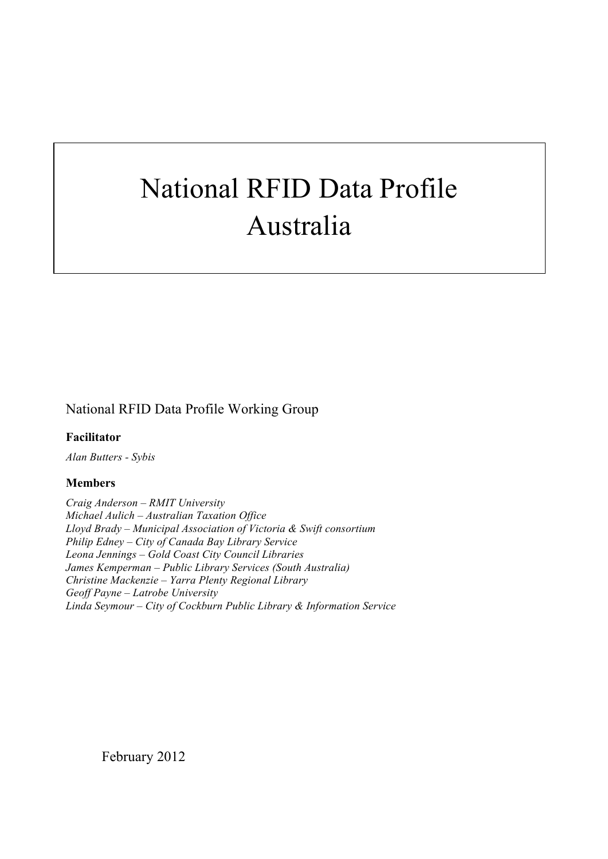# National RFID Data Profile Australia

# National RFID Data Profile Working Group

**Facilitator** 

*Alan Butters - Sybis*

#### **Members**

*Craig Anderson – RMIT University Michael Aulich – Australian Taxation Office Lloyd Brady – Municipal Association of Victoria & Swift consortium Philip Edney – City of Canada Bay Library Service Leona Jennings – Gold Coast City Council Libraries James Kemperman – Public Library Services (South Australia) Christine Mackenzie – Yarra Plenty Regional Library Geoff Payne – Latrobe University Linda Seymour – City of Cockburn Public Library & Information Service*

February 2012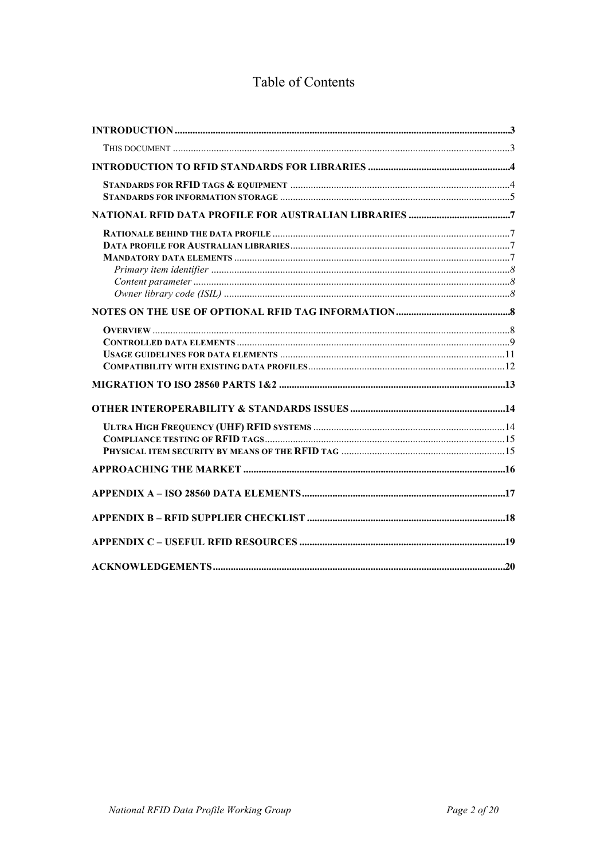# Table of Contents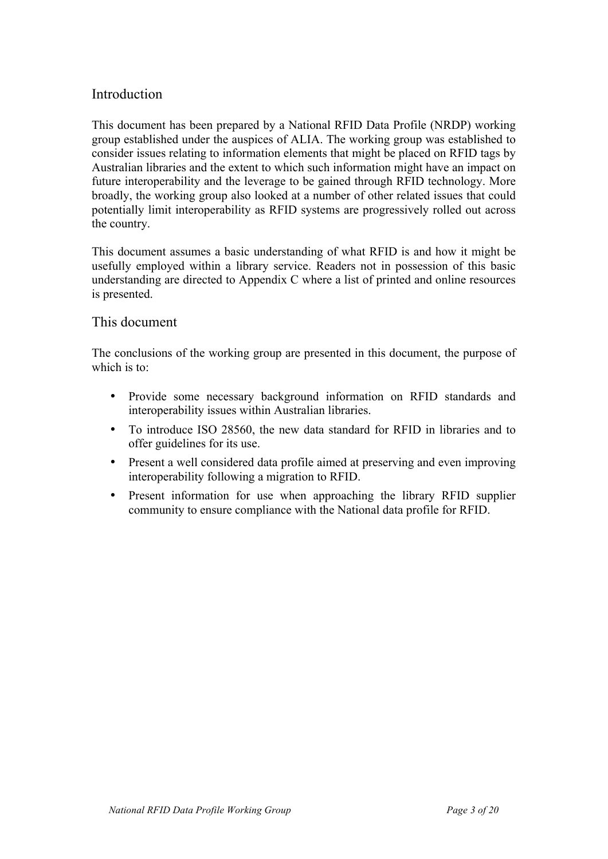# Introduction

This document has been prepared by a National RFID Data Profile (NRDP) working group established under the auspices of ALIA. The working group was established to consider issues relating to information elements that might be placed on RFID tags by Australian libraries and the extent to which such information might have an impact on future interoperability and the leverage to be gained through RFID technology. More broadly, the working group also looked at a number of other related issues that could potentially limit interoperability as RFID systems are progressively rolled out across the country.

This document assumes a basic understanding of what RFID is and how it might be usefully employed within a library service. Readers not in possession of this basic understanding are directed to Appendix C where a list of printed and online resources is presented.

#### This document

The conclusions of the working group are presented in this document, the purpose of which is to:

- Provide some necessary background information on RFID standards and interoperability issues within Australian libraries.
- To introduce ISO 28560, the new data standard for RFID in libraries and to offer guidelines for its use.
- Present a well considered data profile aimed at preserving and even improving interoperability following a migration to RFID.
- Present information for use when approaching the library RFID supplier community to ensure compliance with the National data profile for RFID.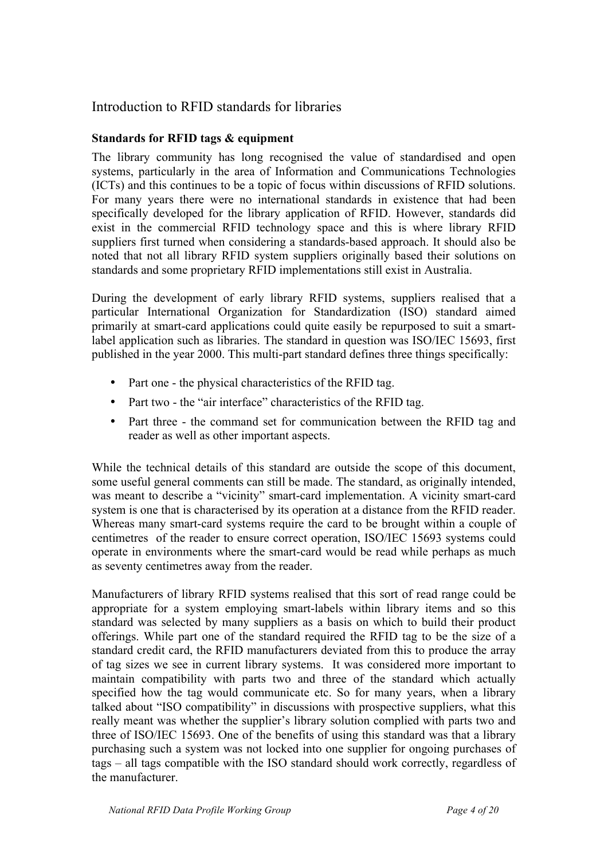## Introduction to RFID standards for libraries

#### **Standards for RFID tags & equipment**

The library community has long recognised the value of standardised and open systems, particularly in the area of Information and Communications Technologies (ICTs) and this continues to be a topic of focus within discussions of RFID solutions. For many years there were no international standards in existence that had been specifically developed for the library application of RFID. However, standards did exist in the commercial RFID technology space and this is where library RFID suppliers first turned when considering a standards-based approach. It should also be noted that not all library RFID system suppliers originally based their solutions on standards and some proprietary RFID implementations still exist in Australia.

During the development of early library RFID systems, suppliers realised that a particular International Organization for Standardization (ISO) standard aimed primarily at smart-card applications could quite easily be repurposed to suit a smartlabel application such as libraries. The standard in question was ISO/IEC 15693, first published in the year 2000. This multi-part standard defines three things specifically:

- Part one the physical characteristics of the RFID tag.
- Part two the "air interface" characteristics of the RFID tag.
- Part three the command set for communication between the RFID tag and reader as well as other important aspects.

While the technical details of this standard are outside the scope of this document, some useful general comments can still be made. The standard, as originally intended, was meant to describe a "vicinity" smart-card implementation. A vicinity smart-card system is one that is characterised by its operation at a distance from the RFID reader. Whereas many smart-card systems require the card to be brought within a couple of centimetres of the reader to ensure correct operation, ISO/IEC 15693 systems could operate in environments where the smart-card would be read while perhaps as much as seventy centimetres away from the reader.

Manufacturers of library RFID systems realised that this sort of read range could be appropriate for a system employing smart-labels within library items and so this standard was selected by many suppliers as a basis on which to build their product offerings. While part one of the standard required the RFID tag to be the size of a standard credit card, the RFID manufacturers deviated from this to produce the array of tag sizes we see in current library systems. It was considered more important to maintain compatibility with parts two and three of the standard which actually specified how the tag would communicate etc. So for many years, when a library talked about "ISO compatibility" in discussions with prospective suppliers, what this really meant was whether the supplier's library solution complied with parts two and three of ISO/IEC 15693. One of the benefits of using this standard was that a library purchasing such a system was not locked into one supplier for ongoing purchases of tags – all tags compatible with the ISO standard should work correctly, regardless of the manufacturer.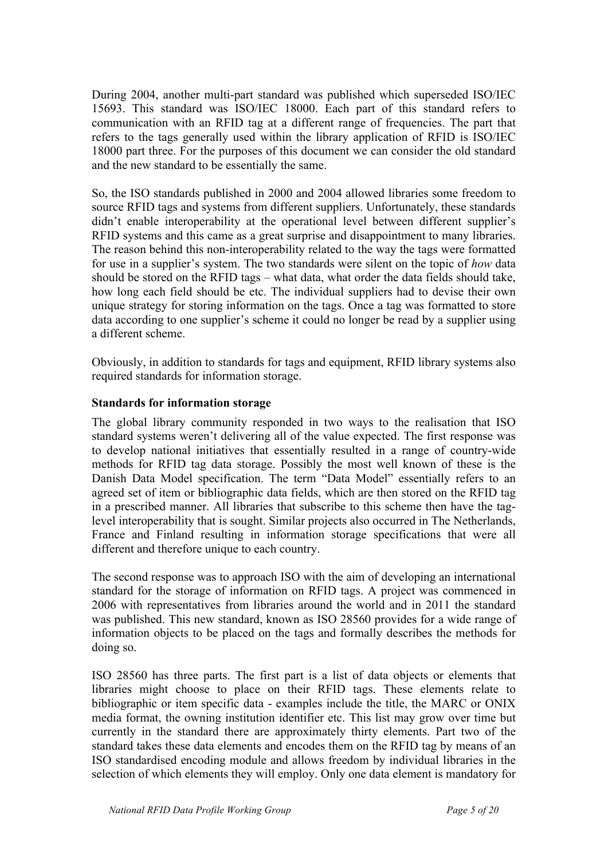During 2004, another multi-part standard was published which superseded ISO/IEC 15693. This standard was ISO/IEC 18000. Each part of this standard refers to communication with an RFID tag at a different range of frequencies. The part that refers to the tags generally used within the library application of RFID is ISO/IEC 18000 part three. For the purposes of this document we can consider the old standard and the new standard to be essentially the same.

So, the ISO standards published in 2000 and 2004 allowed libraries some freedom to source RFID tags and systems from different suppliers. Unfortunately, these standards didn't enable interoperability at the operational level between different supplier's RFID systems and this came as a great surprise and disappointment to many libraries. The reason behind this non-interoperability related to the way the tags were formatted for use in a supplier's system. The two standards were silent on the topic of *how* data should be stored on the RFID tags – what data, what order the data fields should take, how long each field should be etc. The individual suppliers had to devise their own unique strategy for storing information on the tags. Once a tag was formatted to store data according to one supplier's scheme it could no longer be read by a supplier using a different scheme.

Obviously, in addition to standards for tags and equipment, RFID library systems also required standards for information storage.

#### **Standards for information storage**

The global library community responded in two ways to the realisation that ISO standard systems weren't delivering all of the value expected. The first response was to develop national initiatives that essentially resulted in a range of country-wide methods for RFID tag data storage. Possibly the most well known of these is the Danish Data Model specification. The term "Data Model" essentially refers to an agreed set of item or bibliographic data fields, which are then stored on the RFID tag in a prescribed manner. All libraries that subscribe to this scheme then have the taglevel interoperability that is sought. Similar projects also occurred in The Netherlands, France and Finland resulting in information storage specifications that were all different and therefore unique to each country.

The second response was to approach ISO with the aim of developing an international standard for the storage of information on RFID tags. A project was commenced in 2006 with representatives from libraries around the world and in 2011 the standard was published. This new standard, known as ISO 28560 provides for a wide range of information objects to be placed on the tags and formally describes the methods for doing so.

ISO 28560 has three parts. The first part is a list of data objects or elements that libraries might choose to place on their RFID tags. These elements relate to bibliographic or item specific data - examples include the title, the MARC or ONIX media format, the owning institution identifier etc. This list may grow over time but currently in the standard there are approximately thirty elements. Part two of the standard takes these data elements and encodes them on the RFID tag by means of an ISO standardised encoding module and allows freedom by individual libraries in the selection of which elements they will employ. Only one data element is mandatory for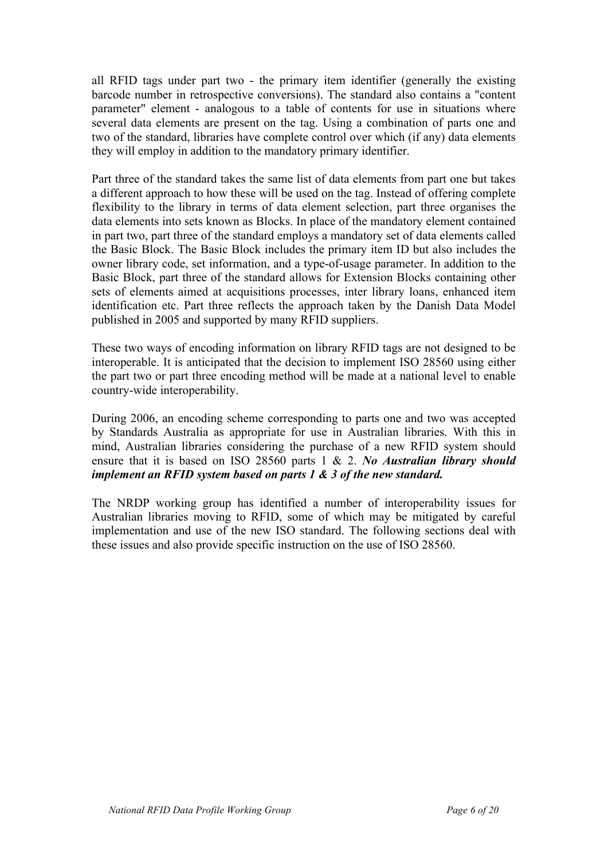all RFID tags under part two - the primary item identifier (generally the existing barcode number in retrospective conversions). The standard also contains a "content parameter" element - analogous to a table of contents for use in situations where several data elements are present on the tag. Using a combination of parts one and two of the standard, libraries have complete control over which (if any) data elements they will employ in addition to the mandatory primary identifier.

Part three of the standard takes the same list of data elements from part one but takes a different approach to how these will be used on the tag. Instead of offering complete flexibility to the library in terms of data element selection, part three organises the data elements into sets known as Blocks. In place of the mandatory element contained in part two, part three of the standard employs a mandatory set of data elements called the Basic Block. The Basic Block includes the primary item ID but also includes the owner library code, set information, and a type-of-usage parameter. In addition to the Basic Block, part three of the standard allows for Extension Blocks containing other sets of elements aimed at acquisitions processes, inter library loans, enhanced item identification etc. Part three reflects the approach taken by the Danish Data Model published in 2005 and supported by many RFID suppliers.

These two ways of encoding information on library RFID tags are not designed to be interoperable. It is anticipated that the decision to implement ISO 28560 using either the part two or part three encoding method will be made at a national level to enable country-wide interoperability.

During 2006, an encoding scheme corresponding to parts one and two was accepted by Standards Australia as appropriate for use in Australian libraries. With this in mind, Australian libraries considering the purchase of a new RFID system should ensure that it is based on ISO 28560 parts 1 & 2. *No Australian library should implement an RFID system based on parts 1 & 3 of the new standard.*

The NRDP working group has identified a number of interoperability issues for Australian libraries moving to RFID, some of which may be mitigated by careful implementation and use of the new ISO standard. The following sections deal with these issues and also provide specific instruction on the use of ISO 28560.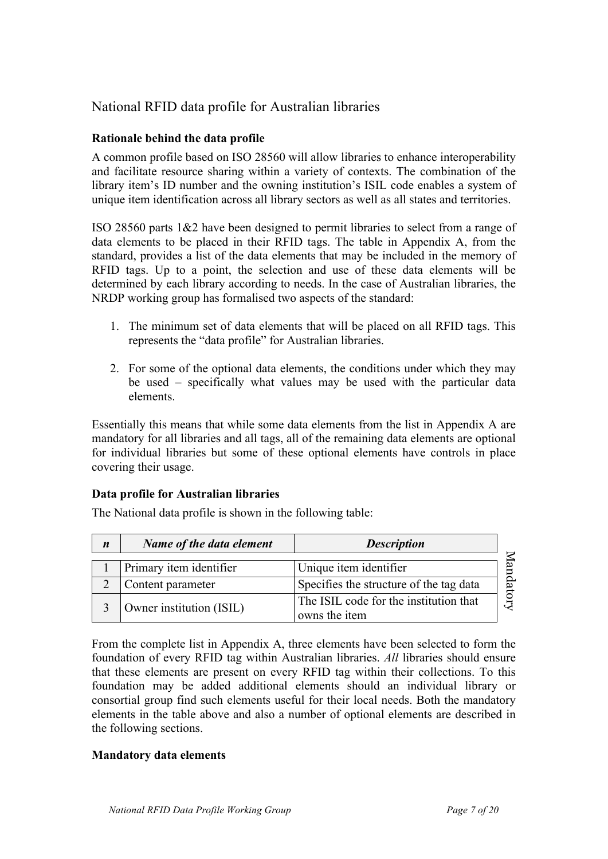# National RFID data profile for Australian libraries

#### **Rationale behind the data profile**

A common profile based on ISO 28560 will allow libraries to enhance interoperability and facilitate resource sharing within a variety of contexts. The combination of the library item's ID number and the owning institution's ISIL code enables a system of unique item identification across all library sectors as well as all states and territories.

ISO 28560 parts 1&2 have been designed to permit libraries to select from a range of data elements to be placed in their RFID tags. The table in Appendix A, from the standard, provides a list of the data elements that may be included in the memory of RFID tags. Up to a point, the selection and use of these data elements will be determined by each library according to needs. In the case of Australian libraries, the NRDP working group has formalised two aspects of the standard:

- 1. The minimum set of data elements that will be placed on all RFID tags. This represents the "data profile" for Australian libraries.
- 2. For some of the optional data elements, the conditions under which they may be used – specifically what values may be used with the particular data elements.

Essentially this means that while some data elements from the list in Appendix A are mandatory for all libraries and all tags, all of the remaining data elements are optional for individual libraries but some of these optional elements have controls in place covering their usage.

#### **Data profile for Australian libraries**

| $\boldsymbol{n}$ | Name of the data element | <b>Description</b>                                      |
|------------------|--------------------------|---------------------------------------------------------|
|                  | Primary item identifier  | Unique item identifier                                  |
|                  | Content parameter        | Specifies the structure of the tag data                 |
|                  | Owner institution (ISIL) | The ISIL code for the institution that<br>owns the item |

The National data profile is shown in the following table:

From the complete list in Appendix A, three elements have been selected to form the foundation of every RFID tag within Australian libraries. *All* libraries should ensure that these elements are present on every RFID tag within their collections. To this foundation may be added additional elements should an individual library or consortial group find such elements useful for their local needs. Both the mandatory elements in the table above and also a number of optional elements are described in the following sections.

#### **Mandatory data elements**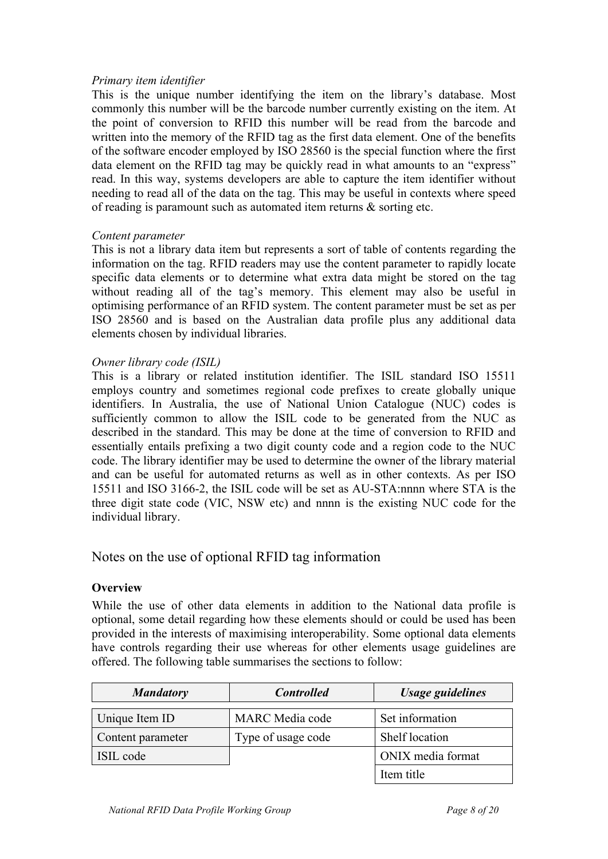#### *Primary item identifier*

This is the unique number identifying the item on the library's database. Most commonly this number will be the barcode number currently existing on the item. At the point of conversion to RFID this number will be read from the barcode and written into the memory of the RFID tag as the first data element. One of the benefits of the software encoder employed by ISO 28560 is the special function where the first data element on the RFID tag may be quickly read in what amounts to an "express" read. In this way, systems developers are able to capture the item identifier without needing to read all of the data on the tag. This may be useful in contexts where speed of reading is paramount such as automated item returns & sorting etc.

#### *Content parameter*

This is not a library data item but represents a sort of table of contents regarding the information on the tag. RFID readers may use the content parameter to rapidly locate specific data elements or to determine what extra data might be stored on the tag without reading all of the tag's memory. This element may also be useful in optimising performance of an RFID system. The content parameter must be set as per ISO 28560 and is based on the Australian data profile plus any additional data elements chosen by individual libraries.

#### *Owner library code (ISIL)*

This is a library or related institution identifier. The ISIL standard ISO 15511 employs country and sometimes regional code prefixes to create globally unique identifiers. In Australia, the use of National Union Catalogue (NUC) codes is sufficiently common to allow the ISIL code to be generated from the NUC as described in the standard. This may be done at the time of conversion to RFID and essentially entails prefixing a two digit county code and a region code to the NUC code. The library identifier may be used to determine the owner of the library material and can be useful for automated returns as well as in other contexts. As per ISO 15511 and ISO 3166-2, the ISIL code will be set as AU-STA:nnnn where STA is the three digit state code (VIC, NSW etc) and nnnn is the existing NUC code for the individual library.

Notes on the use of optional RFID tag information

#### **Overview**

While the use of other data elements in addition to the National data profile is optional, some detail regarding how these elements should or could be used has been provided in the interests of maximising interoperability. Some optional data elements have controls regarding their use whereas for other elements usage guidelines are offered. The following table summarises the sections to follow:

| <b>Mandatory</b>  | <b>Controlled</b>      | <b>Usage guidelines</b> |
|-------------------|------------------------|-------------------------|
| Unique Item ID    | <b>MARC</b> Media code | Set information         |
| Content parameter | Type of usage code     | Shelf location          |
| ISIL code         |                        | ONIX media format       |
|                   |                        | Item title              |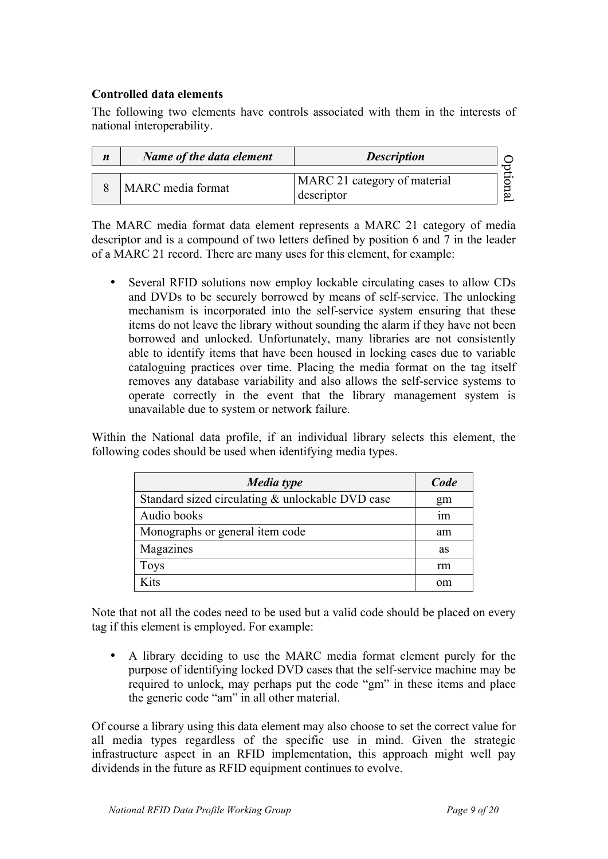#### **Controlled data elements**

The following two elements have controls associated with them in the interests of national interoperability.

| $\boldsymbol{n}$ | Name of the data element | <b>Description</b>                         |    |
|------------------|--------------------------|--------------------------------------------|----|
|                  | MARC media format        | MARC 21 category of material<br>descriptor | C. |

The MARC media format data element represents a MARC 21 category of media descriptor and is a compound of two letters defined by position 6 and 7 in the leader of a MARC 21 record. There are many uses for this element, for example:

• Several RFID solutions now employ lockable circulating cases to allow CDs and DVDs to be securely borrowed by means of self-service. The unlocking mechanism is incorporated into the self-service system ensuring that these items do not leave the library without sounding the alarm if they have not been borrowed and unlocked. Unfortunately, many libraries are not consistently able to identify items that have been housed in locking cases due to variable cataloguing practices over time. Placing the media format on the tag itself removes any database variability and also allows the self-service systems to operate correctly in the event that the library management system is unavailable due to system or network failure.

Within the National data profile, if an individual library selects this element, the following codes should be used when identifying media types.

| Media type                                       | Code |
|--------------------------------------------------|------|
| Standard sized circulating & unlockable DVD case | gm   |
| Audio books                                      | ım   |
| Monographs or general item code                  | am   |
| Magazines                                        | as   |
| <b>Toys</b>                                      | rm   |
| Kits                                             | om   |

Note that not all the codes need to be used but a valid code should be placed on every tag if this element is employed. For example:

• A library deciding to use the MARC media format element purely for the purpose of identifying locked DVD cases that the self-service machine may be required to unlock, may perhaps put the code "gm" in these items and place the generic code "am" in all other material.

Of course a library using this data element may also choose to set the correct value for all media types regardless of the specific use in mind. Given the strategic infrastructure aspect in an RFID implementation, this approach might well pay dividends in the future as RFID equipment continues to evolve.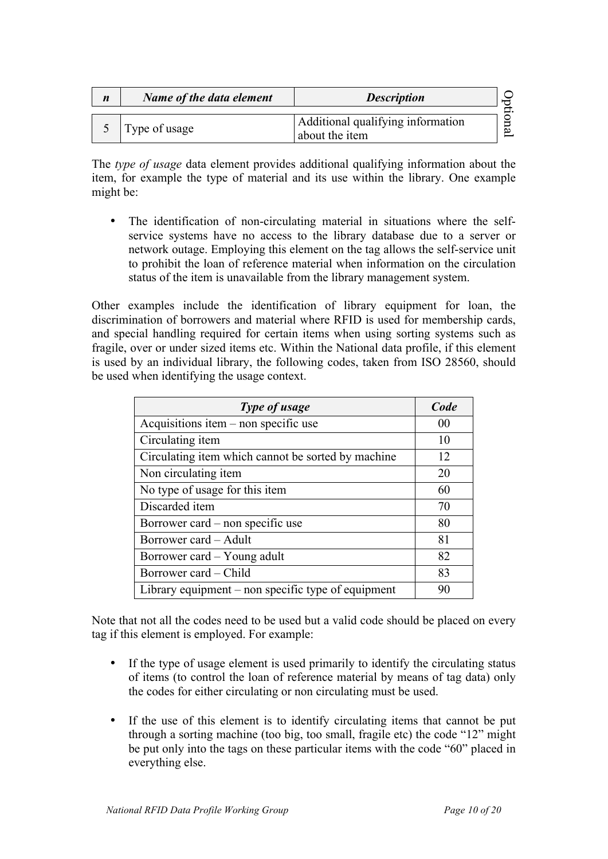| $\boldsymbol{n}$ | Name of the data element | <b>Description</b>                                  |  |
|------------------|--------------------------|-----------------------------------------------------|--|
|                  | Type of usage            | Additional qualifying information<br>about the item |  |

The *type of usage* data element provides additional qualifying information about the item, for example the type of material and its use within the library. One example might be:

• The identification of non-circulating material in situations where the selfservice systems have no access to the library database due to a server or network outage. Employing this element on the tag allows the self-service unit to prohibit the loan of reference material when information on the circulation status of the item is unavailable from the library management system.

Other examples include the identification of library equipment for loan, the discrimination of borrowers and material where RFID is used for membership cards, and special handling required for certain items when using sorting systems such as fragile, over or under sized items etc. Within the National data profile, if this element is used by an individual library, the following codes, taken from ISO 28560, should be used when identifying the usage context.

| Type of usage                                      | Code |
|----------------------------------------------------|------|
| Acquisitions item – non specific use               | 00   |
| Circulating item                                   | 10   |
| Circulating item which cannot be sorted by machine | 12   |
| Non circulating item                               | 20   |
| No type of usage for this item                     | 60   |
| Discarded item                                     | 70   |
| Borrower card – non specific use                   | 80   |
| Borrower card – Adult                              | 81   |
| Borrower card – Young adult                        | 82   |
| Borrower card – Child                              | 83   |
| Library equipment – non specific type of equipment | 90   |

Note that not all the codes need to be used but a valid code should be placed on every tag if this element is employed. For example:

- If the type of usage element is used primarily to identify the circulating status of items (to control the loan of reference material by means of tag data) only the codes for either circulating or non circulating must be used.
- If the use of this element is to identify circulating items that cannot be put through a sorting machine (too big, too small, fragile etc) the code "12" might be put only into the tags on these particular items with the code "60" placed in everything else.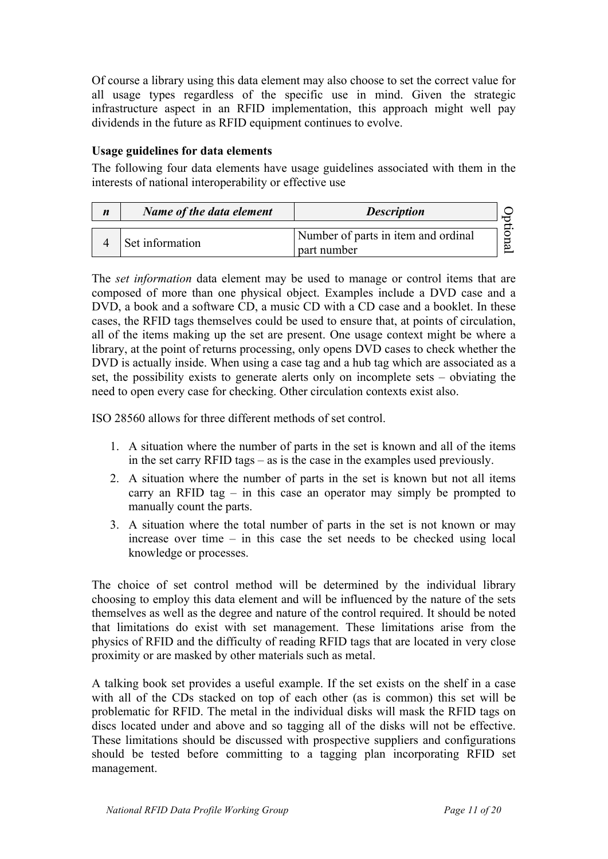Of course a library using this data element may also choose to set the correct value for all usage types regardless of the specific use in mind. Given the strategic infrastructure aspect in an RFID implementation, this approach might well pay dividends in the future as RFID equipment continues to evolve.

#### **Usage guidelines for data elements**

The following four data elements have usage guidelines associated with them in the interests of national interoperability or effective use

| $\boldsymbol{n}$ | Name of the data element | <b>Description</b>                                 |  |
|------------------|--------------------------|----------------------------------------------------|--|
|                  | Set information          | Number of parts in item and ordinal<br>part number |  |

The *set information* data element may be used to manage or control items that are composed of more than one physical object. Examples include a DVD case and a DVD, a book and a software CD, a music CD with a CD case and a booklet. In these cases, the RFID tags themselves could be used to ensure that, at points of circulation, all of the items making up the set are present. One usage context might be where a library, at the point of returns processing, only opens DVD cases to check whether the DVD is actually inside. When using a case tag and a hub tag which are associated as a set, the possibility exists to generate alerts only on incomplete sets – obviating the need to open every case for checking. Other circulation contexts exist also.

ISO 28560 allows for three different methods of set control.

- 1. A situation where the number of parts in the set is known and all of the items in the set carry RFID tags – as is the case in the examples used previously.
- 2. A situation where the number of parts in the set is known but not all items carry an RFID tag – in this case an operator may simply be prompted to manually count the parts.
- 3. A situation where the total number of parts in the set is not known or may increase over time – in this case the set needs to be checked using local knowledge or processes.

The choice of set control method will be determined by the individual library choosing to employ this data element and will be influenced by the nature of the sets themselves as well as the degree and nature of the control required. It should be noted that limitations do exist with set management. These limitations arise from the physics of RFID and the difficulty of reading RFID tags that are located in very close proximity or are masked by other materials such as metal.

A talking book set provides a useful example. If the set exists on the shelf in a case with all of the CDs stacked on top of each other (as is common) this set will be problematic for RFID. The metal in the individual disks will mask the RFID tags on discs located under and above and so tagging all of the disks will not be effective. These limitations should be discussed with prospective suppliers and configurations should be tested before committing to a tagging plan incorporating RFID set management.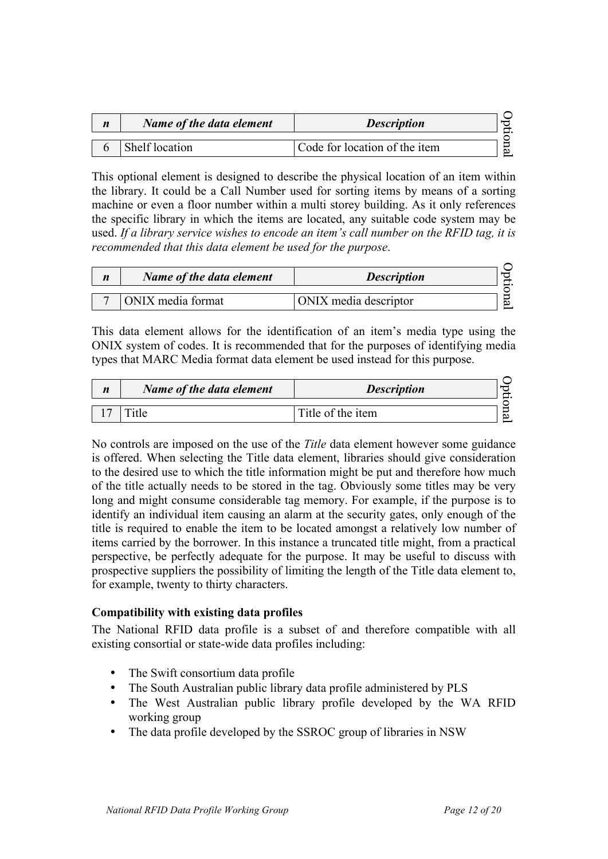| $\boldsymbol{n}$ | Name of the data element | <b>Description</b>            |   |
|------------------|--------------------------|-------------------------------|---|
|                  | Shelf location           | Code for location of the item | ల |

This optional element is designed to describe the physical location of an item within the library. It could be a Call Number used for sorting items by means of a sorting machine or even a floor number within a multi storey building. As it only references the specific library in which the items are located, any suitable code system may be used. *If a library service wishes to encode an item's call number on the RFID tag, it is recommended that this data element be used for the purpose*.

| $\boldsymbol{n}$ | Name of the data element | <b>Description</b>    |  |
|------------------|--------------------------|-----------------------|--|
|                  | ONIX media format        | ONIX media descriptor |  |

This data element allows for the identification of an item's media type using the ONIX system of codes. It is recommended that for the purposes of identifying media types that MARC Media format data element be used instead for this purpose.

| $\boldsymbol{n}$ | Name of the data element | <b>Description</b> |
|------------------|--------------------------|--------------------|
|                  |                          | Title of the item  |

No controls are imposed on the use of the *Title* data element however some guidance is offered. When selecting the Title data element, libraries should give consideration to the desired use to which the title information might be put and therefore how much of the title actually needs to be stored in the tag. Obviously some titles may be very long and might consume considerable tag memory. For example, if the purpose is to identify an individual item causing an alarm at the security gates, only enough of the title is required to enable the item to be located amongst a relatively low number of items carried by the borrower. In this instance a truncated title might, from a practical perspective, be perfectly adequate for the purpose. It may be useful to discuss with prospective suppliers the possibility of limiting the length of the Title data element to, for example, twenty to thirty characters.

#### **Compatibility with existing data profiles**

The National RFID data profile is a subset of and therefore compatible with all existing consortial or state-wide data profiles including:

- The Swift consortium data profile
- The South Australian public library data profile administered by PLS
- The West Australian public library profile developed by the WA RFID working group
- The data profile developed by the SSROC group of libraries in NSW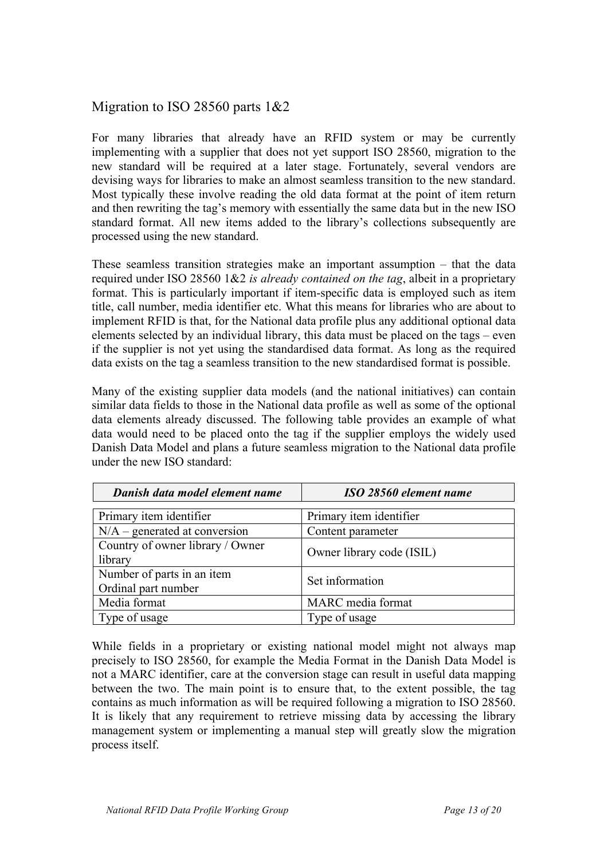# Migration to ISO 28560 parts 1&2

For many libraries that already have an RFID system or may be currently implementing with a supplier that does not yet support ISO 28560, migration to the new standard will be required at a later stage. Fortunately, several vendors are devising ways for libraries to make an almost seamless transition to the new standard. Most typically these involve reading the old data format at the point of item return and then rewriting the tag's memory with essentially the same data but in the new ISO standard format. All new items added to the library's collections subsequently are processed using the new standard.

These seamless transition strategies make an important assumption – that the data required under ISO 28560 1&2 *is already contained on the tag*, albeit in a proprietary format. This is particularly important if item-specific data is employed such as item title, call number, media identifier etc. What this means for libraries who are about to implement RFID is that, for the National data profile plus any additional optional data elements selected by an individual library, this data must be placed on the tags – even if the supplier is not yet using the standardised data format. As long as the required data exists on the tag a seamless transition to the new standardised format is possible.

Many of the existing supplier data models (and the national initiatives) can contain similar data fields to those in the National data profile as well as some of the optional data elements already discussed. The following table provides an example of what data would need to be placed onto the tag if the supplier employs the widely used Danish Data Model and plans a future seamless migration to the National data profile under the new ISO standard:

| Danish data model element name                    | ISO 28560 element name    |
|---------------------------------------------------|---------------------------|
| Primary item identifier                           | Primary item identifier   |
| $N/A$ – generated at conversion                   | Content parameter         |
| Country of owner library / Owner<br>library       | Owner library code (ISIL) |
| Number of parts in an item<br>Ordinal part number | Set information           |
| Media format                                      | MARC media format         |
| Type of usage                                     | Type of usage             |

While fields in a proprietary or existing national model might not always map precisely to ISO 28560, for example the Media Format in the Danish Data Model is not a MARC identifier, care at the conversion stage can result in useful data mapping between the two. The main point is to ensure that, to the extent possible, the tag contains as much information as will be required following a migration to ISO 28560. It is likely that any requirement to retrieve missing data by accessing the library management system or implementing a manual step will greatly slow the migration process itself.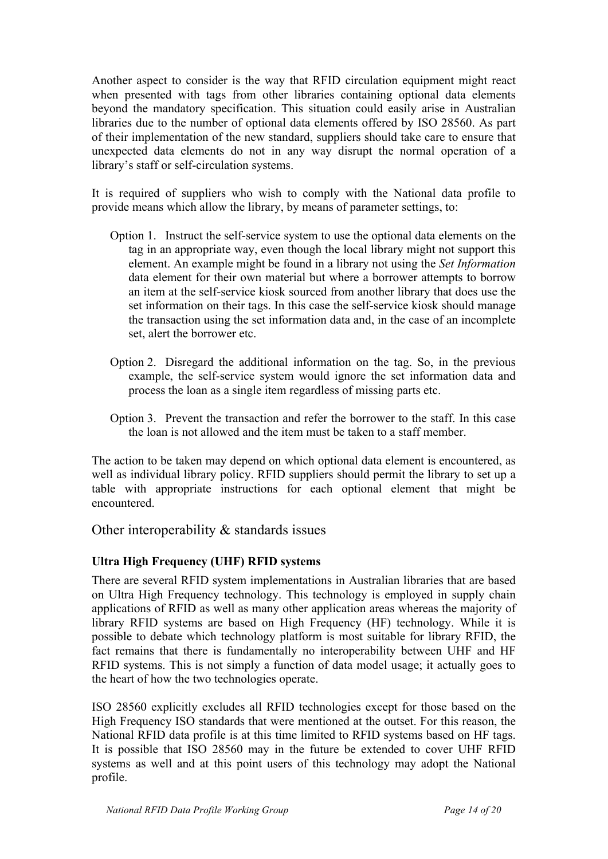Another aspect to consider is the way that RFID circulation equipment might react when presented with tags from other libraries containing optional data elements beyond the mandatory specification. This situation could easily arise in Australian libraries due to the number of optional data elements offered by ISO 28560. As part of their implementation of the new standard, suppliers should take care to ensure that unexpected data elements do not in any way disrupt the normal operation of a library's staff or self-circulation systems.

It is required of suppliers who wish to comply with the National data profile to provide means which allow the library, by means of parameter settings, to:

- Option 1. Instruct the self-service system to use the optional data elements on the tag in an appropriate way, even though the local library might not support this element. An example might be found in a library not using the *Set Information* data element for their own material but where a borrower attempts to borrow an item at the self-service kiosk sourced from another library that does use the set information on their tags. In this case the self-service kiosk should manage the transaction using the set information data and, in the case of an incomplete set, alert the borrower etc.
- Option 2. Disregard the additional information on the tag. So, in the previous example, the self-service system would ignore the set information data and process the loan as a single item regardless of missing parts etc.
- Option 3. Prevent the transaction and refer the borrower to the staff. In this case the loan is not allowed and the item must be taken to a staff member.

The action to be taken may depend on which optional data element is encountered, as well as individual library policy. RFID suppliers should permit the library to set up a table with appropriate instructions for each optional element that might be encountered.

Other interoperability & standards issues

## **Ultra High Frequency (UHF) RFID systems**

There are several RFID system implementations in Australian libraries that are based on Ultra High Frequency technology. This technology is employed in supply chain applications of RFID as well as many other application areas whereas the majority of library RFID systems are based on High Frequency (HF) technology. While it is possible to debate which technology platform is most suitable for library RFID, the fact remains that there is fundamentally no interoperability between UHF and HF RFID systems. This is not simply a function of data model usage; it actually goes to the heart of how the two technologies operate.

ISO 28560 explicitly excludes all RFID technologies except for those based on the High Frequency ISO standards that were mentioned at the outset. For this reason, the National RFID data profile is at this time limited to RFID systems based on HF tags. It is possible that ISO 28560 may in the future be extended to cover UHF RFID systems as well and at this point users of this technology may adopt the National profile.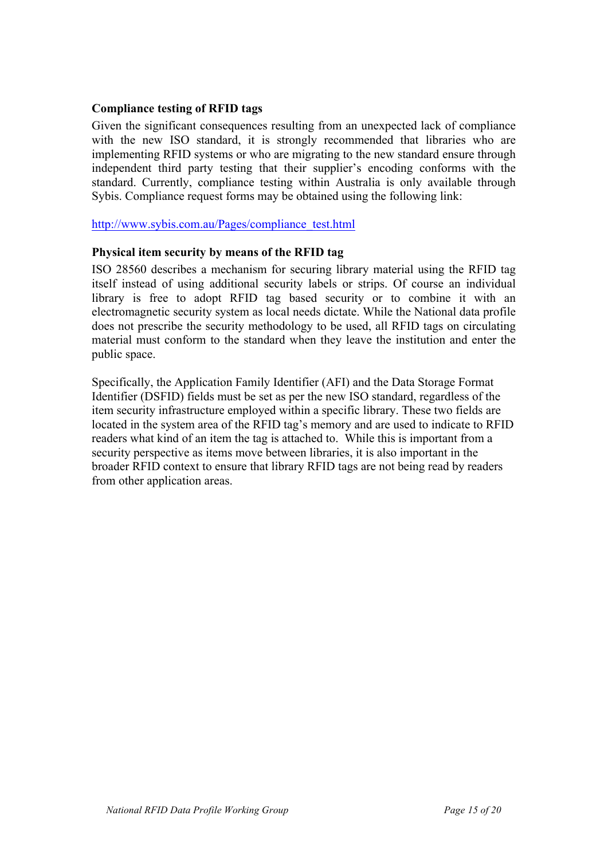#### **Compliance testing of RFID tags**

Given the significant consequences resulting from an unexpected lack of compliance with the new ISO standard, it is strongly recommended that libraries who are implementing RFID systems or who are migrating to the new standard ensure through independent third party testing that their supplier's encoding conforms with the standard. Currently, compliance testing within Australia is only available through Sybis. Compliance request forms may be obtained using the following link:

http://www.sybis.com.au/Pages/compliance\_test.html

#### **Physical item security by means of the RFID tag**

ISO 28560 describes a mechanism for securing library material using the RFID tag itself instead of using additional security labels or strips. Of course an individual library is free to adopt RFID tag based security or to combine it with an electromagnetic security system as local needs dictate. While the National data profile does not prescribe the security methodology to be used, all RFID tags on circulating material must conform to the standard when they leave the institution and enter the public space.

Specifically, the Application Family Identifier (AFI) and the Data Storage Format Identifier (DSFID) fields must be set as per the new ISO standard, regardless of the item security infrastructure employed within a specific library. These two fields are located in the system area of the RFID tag's memory and are used to indicate to RFID readers what kind of an item the tag is attached to. While this is important from a security perspective as items move between libraries, it is also important in the broader RFID context to ensure that library RFID tags are not being read by readers from other application areas.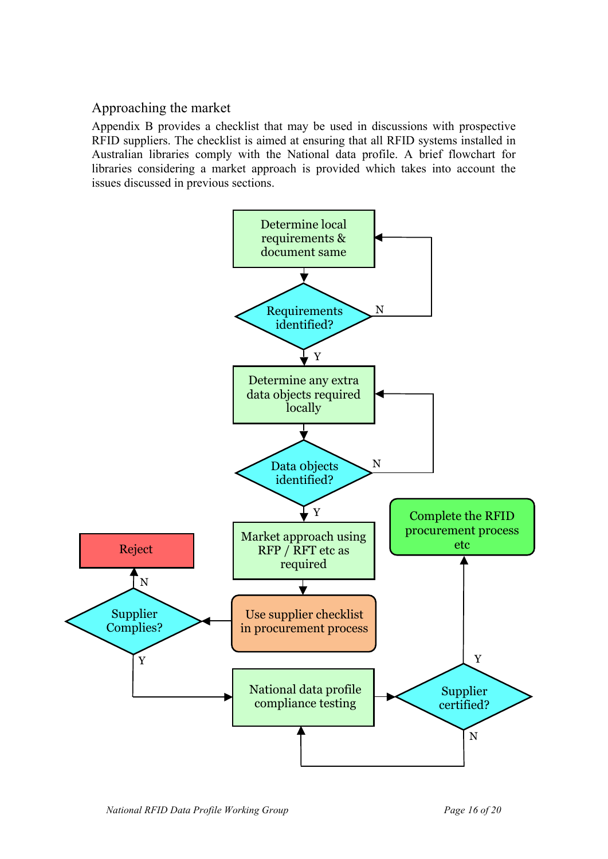# Approaching the market

Appendix B provides a checklist that may be used in discussions with prospective RFID suppliers. The checklist is aimed at ensuring that all RFID systems installed in Australian libraries comply with the National data profile. A brief flowchart for libraries considering a market approach is provided which takes into account the issues discussed in previous sections.

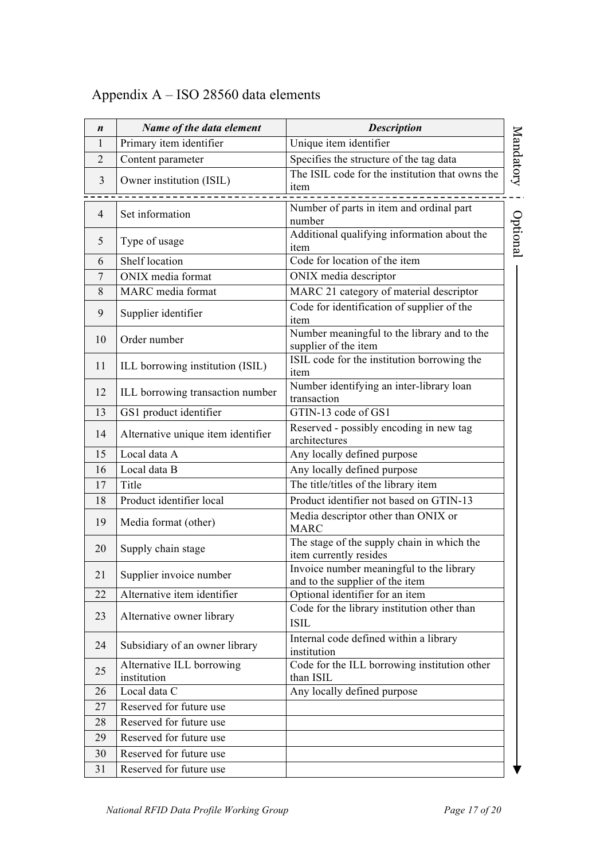# Appendix A – ISO 28560 data elements

| $\boldsymbol{n}$ | Name of the data element                 | <b>Description</b>                                                          |           |
|------------------|------------------------------------------|-----------------------------------------------------------------------------|-----------|
| 1                | Primary item identifier                  | Unique item identifier                                                      |           |
| 2                | Content parameter                        | Specifies the structure of the tag data                                     |           |
| 3                | Owner institution (ISIL)                 | The ISIL code for the institution that owns the<br>item                     | Mandatory |
| $\overline{4}$   | Set information                          | Number of parts in item and ordinal part<br>number                          | Optional  |
| 5                | Type of usage                            | Additional qualifying information about the<br>item                         |           |
| 6                | Shelf location                           | Code for location of the item                                               |           |
| 7                | ONIX media format                        | ONIX media descriptor                                                       |           |
| 8                | MARC media format                        | MARC 21 category of material descriptor                                     |           |
| 9                | Supplier identifier                      | Code for identification of supplier of the<br>item                          |           |
| 10               | Order number                             | Number meaningful to the library and to the<br>supplier of the item         |           |
| 11               | ILL borrowing institution (ISIL)         | ISIL code for the institution borrowing the<br>item                         |           |
| 12               | ILL borrowing transaction number         | Number identifying an inter-library loan<br>transaction                     |           |
| 13               | GS1 product identifier                   | GTIN-13 code of GS1                                                         |           |
| 14               | Alternative unique item identifier       | Reserved - possibly encoding in new tag<br>architectures                    |           |
| 15               | Local data A                             | Any locally defined purpose                                                 |           |
| 16               | Local data B                             | Any locally defined purpose                                                 |           |
| 17               | Title                                    | The title/titles of the library item                                        |           |
| 18               | Product identifier local                 | Product identifier not based on GTIN-13                                     |           |
| 19               | Media format (other)                     | Media descriptor other than ONIX or<br><b>MARC</b>                          |           |
| 20               | Supply chain stage                       | The stage of the supply chain in which the<br>item currently resides        |           |
| 21               | Supplier invoice number                  | Invoice number meaningful to the library<br>and to the supplier of the item |           |
| 22               | Alternative item identifier              | Optional identifier for an item                                             |           |
| 23               | Alternative owner library                | Code for the library institution other than<br><b>ISIL</b>                  |           |
| 24               | Subsidiary of an owner library           | Internal code defined within a library<br>institution                       |           |
| 25               | Alternative ILL borrowing<br>institution | Code for the ILL borrowing institution other<br>than ISIL                   |           |
| 26               | Local data C                             | Any locally defined purpose                                                 |           |
| 27               | Reserved for future use                  |                                                                             |           |
| 28               | Reserved for future use                  |                                                                             |           |
| 29               | Reserved for future use                  |                                                                             |           |
| 30               | Reserved for future use                  |                                                                             |           |
| 31               | Reserved for future use                  |                                                                             |           |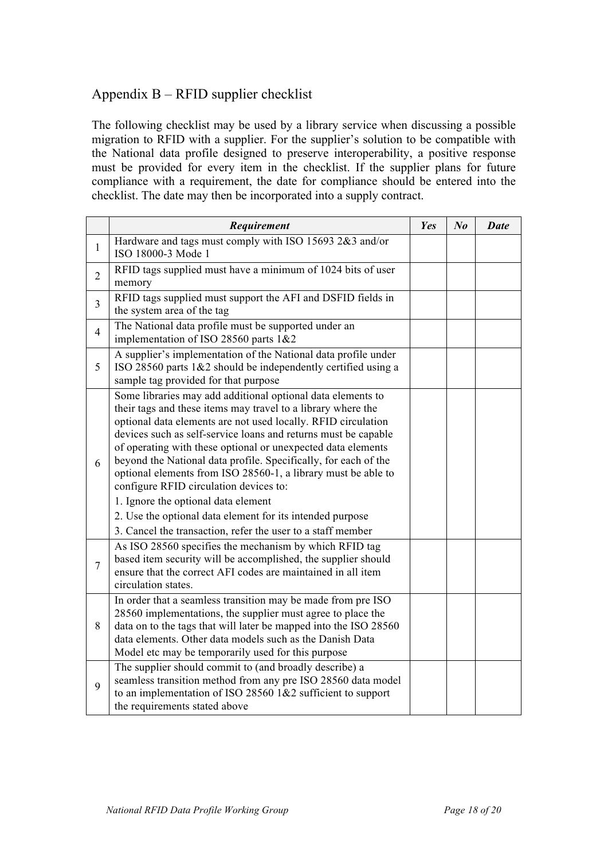# Appendix B – RFID supplier checklist

The following checklist may be used by a library service when discussing a possible migration to RFID with a supplier. For the supplier's solution to be compatible with the National data profile designed to preserve interoperability, a positive response must be provided for every item in the checklist. If the supplier plans for future compliance with a requirement, the date for compliance should be entered into the checklist. The date may then be incorporated into a supply contract.

|                | Requirement                                                                                                                                                                                                                                                                                                                                                                                                                                                                                                                                         | Yes | $N_{0}$ | <b>Date</b> |
|----------------|-----------------------------------------------------------------------------------------------------------------------------------------------------------------------------------------------------------------------------------------------------------------------------------------------------------------------------------------------------------------------------------------------------------------------------------------------------------------------------------------------------------------------------------------------------|-----|---------|-------------|
| $\mathbf{1}$   | Hardware and tags must comply with ISO 15693 2&3 and/or<br>ISO 18000-3 Mode 1                                                                                                                                                                                                                                                                                                                                                                                                                                                                       |     |         |             |
| $\overline{2}$ | RFID tags supplied must have a minimum of 1024 bits of user<br>memory                                                                                                                                                                                                                                                                                                                                                                                                                                                                               |     |         |             |
| $\overline{3}$ | RFID tags supplied must support the AFI and DSFID fields in<br>the system area of the tag                                                                                                                                                                                                                                                                                                                                                                                                                                                           |     |         |             |
| $\overline{4}$ | The National data profile must be supported under an<br>implementation of ISO 28560 parts 1&2                                                                                                                                                                                                                                                                                                                                                                                                                                                       |     |         |             |
| 5              | A supplier's implementation of the National data profile under<br>ISO 28560 parts $1\&2$ should be independently certified using a<br>sample tag provided for that purpose                                                                                                                                                                                                                                                                                                                                                                          |     |         |             |
| 6              | Some libraries may add additional optional data elements to<br>their tags and these items may travel to a library where the<br>optional data elements are not used locally. RFID circulation<br>devices such as self-service loans and returns must be capable<br>of operating with these optional or unexpected data elements<br>beyond the National data profile. Specifically, for each of the<br>optional elements from ISO 28560-1, a library must be able to<br>configure RFID circulation devices to:<br>1. Ignore the optional data element |     |         |             |
|                | 2. Use the optional data element for its intended purpose<br>3. Cancel the transaction, refer the user to a staff member                                                                                                                                                                                                                                                                                                                                                                                                                            |     |         |             |
| $\overline{7}$ | As ISO 28560 specifies the mechanism by which RFID tag<br>based item security will be accomplished, the supplier should<br>ensure that the correct AFI codes are maintained in all item<br>circulation states.                                                                                                                                                                                                                                                                                                                                      |     |         |             |
| 8              | In order that a seamless transition may be made from pre ISO<br>28560 implementations, the supplier must agree to place the<br>data on to the tags that will later be mapped into the ISO 28560<br>data elements. Other data models such as the Danish Data<br>Model etc may be temporarily used for this purpose                                                                                                                                                                                                                                   |     |         |             |
| 9              | The supplier should commit to (and broadly describe) a<br>seamless transition method from any pre ISO 28560 data model<br>to an implementation of ISO 28560 1&2 sufficient to support<br>the requirements stated above                                                                                                                                                                                                                                                                                                                              |     |         |             |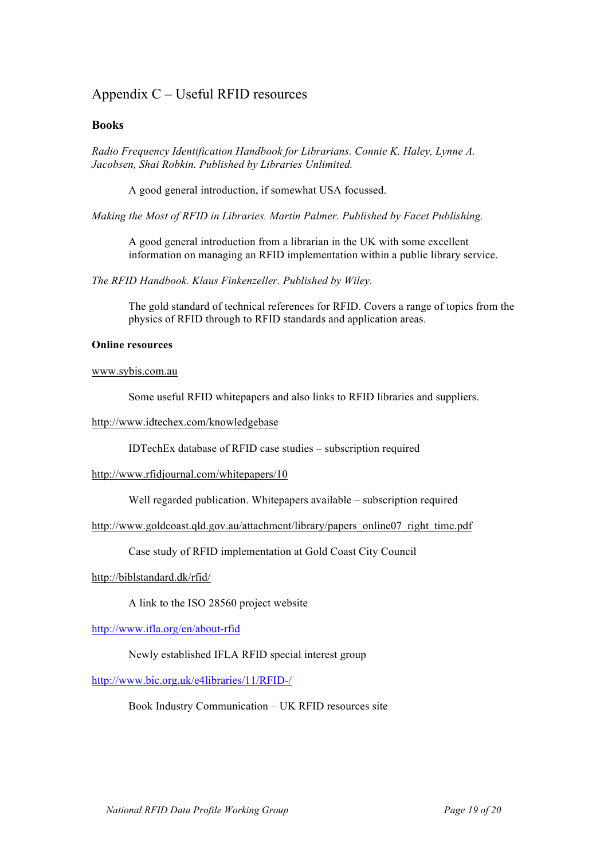## Appendix C – Useful RFID resources

#### **Books**

*Radio Frequency Identification Handbook for Librarians. Connie K. Haley, Lynne A. Jacobsen, Shai Robkin. Published by Libraries Unlimited.*

A good general introduction, if somewhat USA focussed.

*Making the Most of RFID in Libraries. Martin Palmer. Published by Facet Publishing.*

A good general introduction from a librarian in the UK with some excellent information on managing an RFID implementation within a public library service.

*The RFID Handbook. Klaus Finkenzeller. Published by Wiley.*

The gold standard of technical references for RFID. Covers a range of topics from the physics of RFID through to RFID standards and application areas.

#### **Online resources**

www.sybis.com.au

Some useful RFID whitepapers and also links to RFID libraries and suppliers.

#### http://www.idtechex.com/knowledgebase

IDTechEx database of RFID case studies – subscription required

#### http://www.rfidjournal.com/whitepapers/10

Well regarded publication. Whitepapers available – subscription required

http://www.goldcoast.qld.gov.au/attachment/library/papers\_online07\_right\_time.pdf

Case study of RFID implementation at Gold Coast City Council

#### http://biblstandard.dk/rfid/

A link to the ISO 28560 project website

http://www.ifla.org/en/about-rfid

#### Newly established IFLA RFID special interest group

http://www.bic.org.uk/e4libraries/11/RFID-/

Book Industry Communication – UK RFID resources site